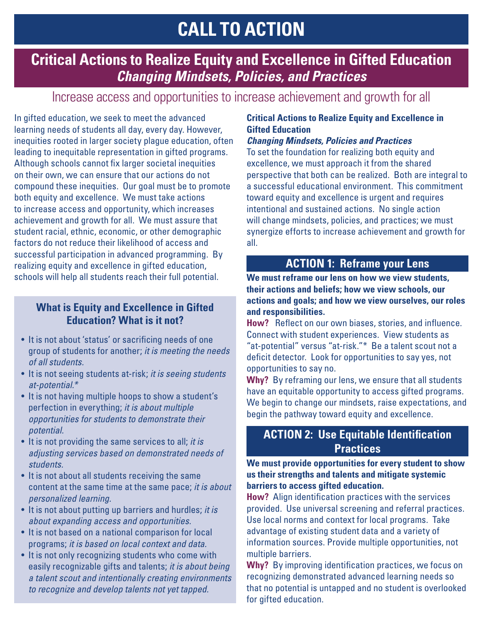# **CALL TO ACTION**

# **Critical Actions to Realize Equity and Excellence in Gifted Education** *Changing Mindsets, Policies, and Practices*

# Increase access and opportunities to increase achievement and growth for all

In gifted education, we seek to meet the advanced learning needs of students all day, every day. However, inequities rooted in larger society plague education, often leading to inequitable representation in gifted programs. Although schools cannot fix larger societal inequities on their own, we can ensure that our actions do not compound these inequities. Our goal must be to promote both equity and excellence. We must take actions to increase access and opportunity, which increases achievement and growth for all. We must assure that student racial, ethnic, economic, or other demographic factors do not reduce their likelihood of access and successful participation in advanced programming. By realizing equity and excellence in gifted education, schools will help all students reach their full potential.

#### **What is Equity and Excellence in Gifted Education? What is it not?**

- It is not about 'status' or sacrificing needs of one group of students for another; *it is meeting the needs of all students.*
- It is not seeing students at-risk; *it is seeing students at-potential.\**
- It is not having multiple hoops to show a student's perfection in everything; *it is about multiple opportunities for students to demonstrate their potential.*
- It is not providing the same services to all; *it is adjusting services based on demonstrated needs of students.*
- It is not about all students receiving the same content at the same time at the same pace; *it is about personalized learning.*
- It is not about putting up barriers and hurdles; *it is about expanding access and opportunities.*
- It is not based on a national comparison for local programs; *it is based on local context and data.*
- It is not only recognizing students who come with easily recognizable gifts and talents; *it is about being a talent scout and intentionally creating environments to recognize and develop talents not yet tapped.*

#### **Critical Actions to Realize Equity and Excellence in Gifted Education**

#### *Changing Mindsets, Policies and Practices*

To set the foundation for realizing both equity and excellence, we must approach it from the shared perspective that both can be realized. Both are integral to a successful educational environment. This commitment toward equity and excellence is urgent and requires intentional and sustained actions. No single action will change mindsets, policies, and practices; we must synergize efforts to increase achievement and growth for all.

### **ACTION 1: Reframe your Lens**

**We must reframe our lens on how we view students, their actions and beliefs; how we view schools, our actions and goals; and how we view ourselves, our roles and responsibilities.**

**How?** Reflect on our own biases, stories, and influence. Connect with student experiences. View students as "at-potential" versus "at-risk."\* Be a talent scout not a deficit detector. Look for opportunities to say yes, not opportunities to say no.

**Why?** By reframing our lens, we ensure that all students have an equitable opportunity to access gifted programs. We begin to change our mindsets, raise expectations, and begin the pathway toward equity and excellence.

#### **ACTION 2: Use Equitable Identification Practices**

**We must provide opportunities for every student to show us their strengths and talents and mitigate systemic barriers to access gifted education.**

**How?** Align identification practices with the services provided. Use universal screening and referral practices. Use local norms and context for local programs. Take advantage of existing student data and a variety of information sources. Provide multiple opportunities, not multiple barriers.

**Why?** By improving identification practices, we focus on recognizing demonstrated advanced learning needs so that no potential is untapped and no student is overlooked for gifted education.